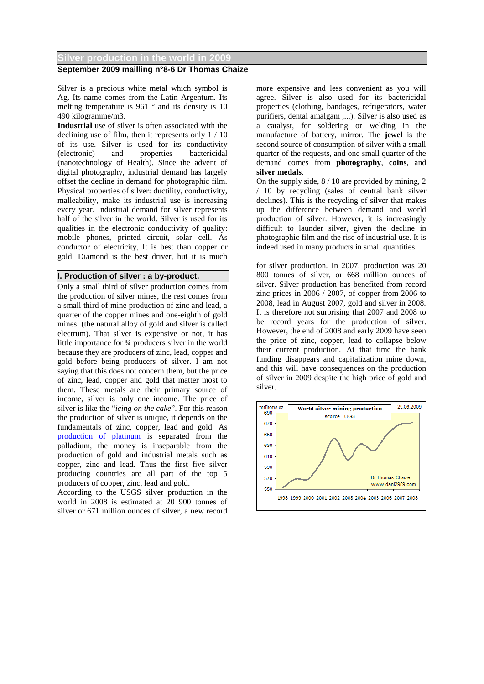#### **Silver production in the world in 2009**

## **September 2009 mailling n°8-6 Dr Thomas Chaize**

Silver is a precious white metal which symbol is Ag. Its name comes from the Latin Argentum. Its melting temperature is 961 ° and its density is 10 490 kilogramme/m3.

**Industrial** use of silver is often associated with the declining use of film, then it represents only 1 / 10 of its use. Silver is used for its conductivity (electronic) and properties bactericidal (nanotechnology of Health). Since the advent of digital photography, industrial demand has largely offset the decline in demand for photographic film. Physical properties of silver: ductility, conductivity, malleability, make its industrial use is increasing every year. Industrial demand for silver represents half of the silver in the world. Silver is used for its qualities in the electronic conductivity of quality: mobile phones, printed circuit, solar cell. As conductor of electricity, It is best than copper or gold. Diamond is the best driver, but it is much

#### **I. Production of silver : a by-product.**

Only a small third of silver production comes from the production of silver mines, the rest comes from a small third of mine production of zinc and lead, a quarter of the copper mines and one-eighth of gold mines (the natural alloy of gold and silver is called electrum). That silver is expensive or not, it has little importance for ¾ producers silver in the world because they are producers of zinc, lead, copper and gold before being producers of silver. I am not saying that this does not concern them, but the price of zinc, lead, copper and gold that matter most to them. These metals are their primary source of income, silver is only one income. The price of silver is like the "*icing on the cake*". For this reason the production of silver is unique, it depends on the fundamentals of zinc, copper, lead and gold. As [production of platinum](http://www.dani2989.com/gold/platinum1008gb.htm) is separated from the palladium, the money is inseparable from the production of gold and industrial metals such as copper, zinc and lead. Thus the first five silver producing countries are all part of the top 5 producers of copper, zinc, lead and gold.

According to the USGS silver production in the world in 2008 is estimated at 20 900 tonnes of silver or 671 million ounces of silver, a new record

more expensive and less convenient as you will agree. Silver is also used for its bactericidal properties (clothing, bandages, refrigerators, water purifiers, dental amalgam ,...). Silver is also used as a catalyst, for soldering or welding in the manufacture of battery, mirror. The **jewel** is the second source of consumption of silver with a small quarter of the requests, and one small quarter of the demand comes from **photography**, **coins**, and **silver medals**.

On the supply side, 8 / 10 are provided by mining, 2 / 10 by recycling (sales of central bank silver declines). This is the recycling of silver that makes up the difference between demand and world production of silver. However, it is increasingly difficult to launder silver, given the decline in photographic film and the rise of industrial use. It is indeed used in many products in small quantities.

for silver production. In 2007, production was 20 800 tonnes of silver, or 668 million ounces of silver. Silver production has benefited from record zinc prices in 2006 / 2007, of copper from 2006 to 2008, lead in August 2007, gold and silver in 2008. It is therefore not surprising that 2007 and 2008 to be record years for the production of silver. However, the end of 2008 and early 2009 have seen the price of zinc, copper, lead to collapse below their current production. At that time the bank funding disappears and capitalization mine down, and this will have consequences on the production of silver in 2009 despite the high price of gold and silver.

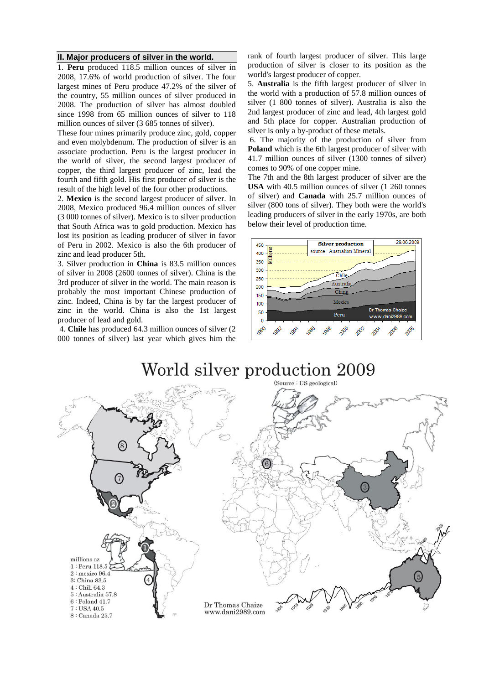#### **II. Major producers of silver in the world.**

1. **Peru** produced 118.5 million ounces of silver in 2008, 17.6% of world production of silver. The four largest mines of Peru produce 47.2% of the silver of the country, 55 million ounces of silver produced in 2008. The production of silver has almost doubled since 1998 from 65 million ounces of silver to 118 million ounces of silver (3 685 tonnes of silver).

These four mines primarily produce zinc, gold, copper and even molybdenum. The production of silver is an associate production. Peru is the largest producer in the world of silver, the second largest producer of copper, the third largest producer of zinc, lead the fourth and fifth gold. His first producer of silver is the result of the high level of the four other productions.

2. **Mexico** is the second largest producer of silver. In 2008, Mexico produced 96.4 million ounces of silver (3 000 tonnes of silver). Mexico is to silver production that South Africa was to gold production. Mexico has lost its position as leading producer of silver in favor of Peru in 2002. Mexico is also the 6th producer of zinc and lead producer 5th.

3. Silver production in **China** is 83.5 million ounces of silver in 2008 (2600 tonnes of silver). China is the 3rd producer of silver in the world. The main reason is probably the most important Chinese production of zinc. Indeed, China is by far the largest producer of zinc in the world. China is also the 1st largest producer of lead and gold.

4. **Chile** has produced 64.3 million ounces of silver (2 000 tonnes of silver) last year which gives him the rank of fourth largest producer of silver. This large production of silver is closer to its position as the world's largest producer of copper.

5. **Australia** is the fifth largest producer of silver in the world with a production of 57.8 million ounces of silver (1 800 tonnes of silver). Australia is also the 2nd largest producer of zinc and lead, 4th largest gold and 5th place for copper. Australian production of silver is only a by-product of these metals.

6. The majority of the production of silver from **Poland** which is the 6th largest producer of silver with 41.7 million ounces of silver (1300 tonnes of silver) comes to 90% of one copper mine.

The 7th and the 8th largest producer of silver are the **USA** with 40.5 million ounces of silver (1 260 tonnes of silver) and **Canada** with 25.7 million ounces of silver (800 tons of silver). They both were the world's leading producers of silver in the early 1970s, are both below their level of production time.



# World silver production 2009